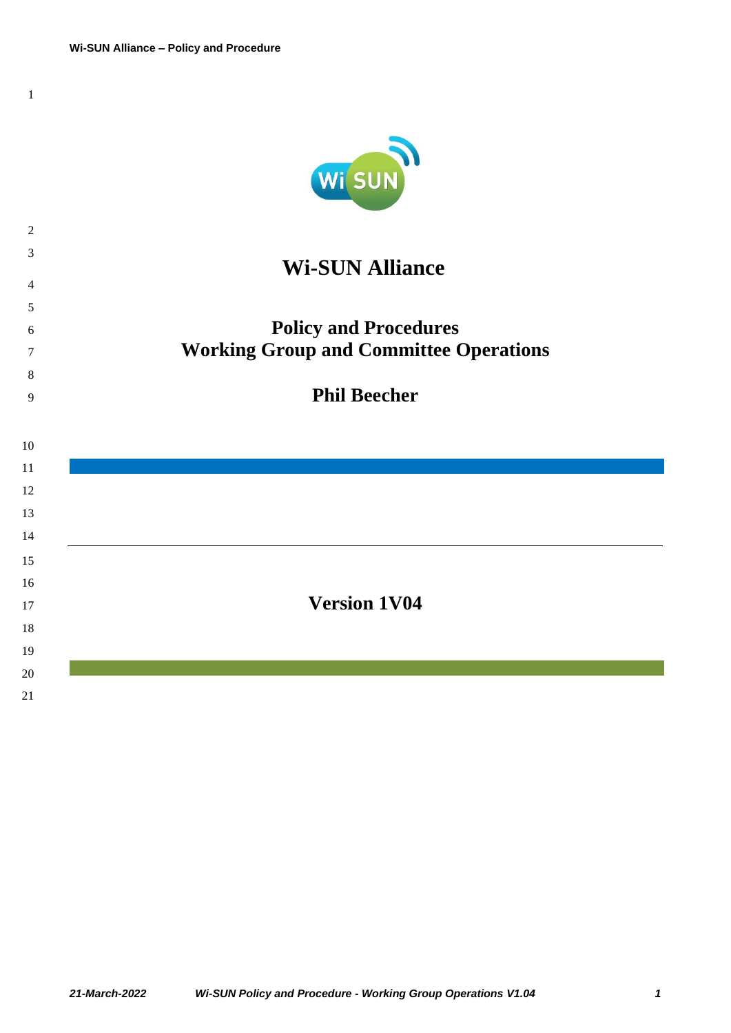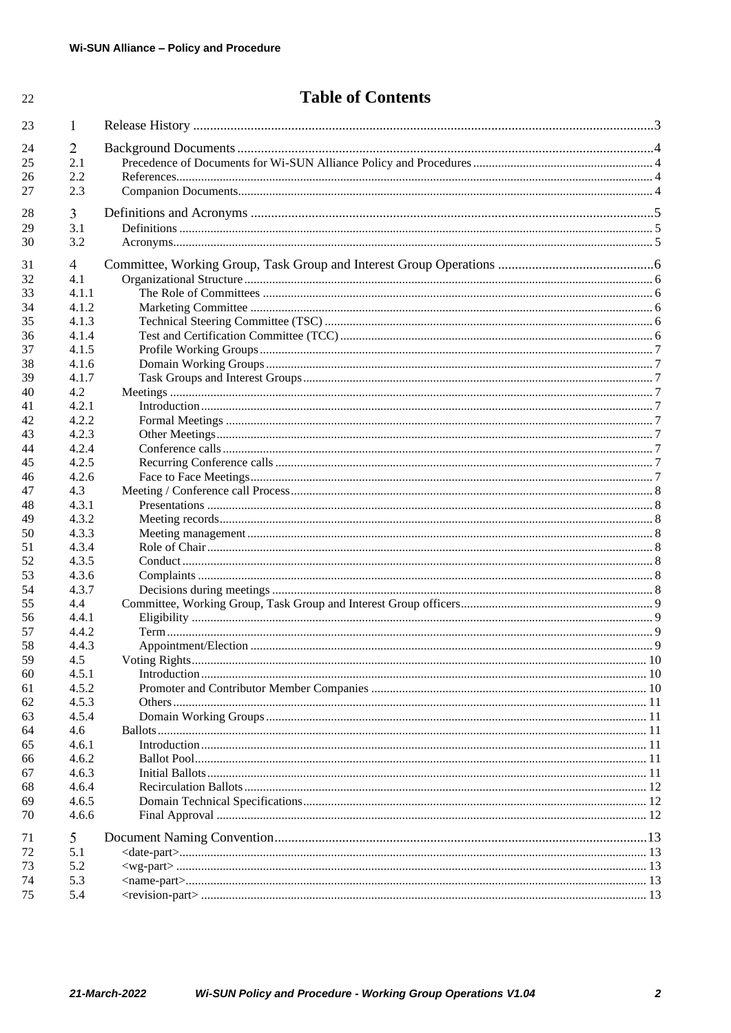22

# **Table of Contents**

| 23 | 1     |               |  |
|----|-------|---------------|--|
| 24 | 2     |               |  |
| 25 | 2.1   |               |  |
| 26 | 2.2   |               |  |
| 27 | 2.3   |               |  |
| 28 | 3     |               |  |
| 29 | 3.1   |               |  |
| 30 | 3.2   |               |  |
| 31 | 4     |               |  |
| 32 | 4.1   |               |  |
| 33 | 4.1.1 |               |  |
| 34 | 4.1.2 |               |  |
| 35 | 4.1.3 |               |  |
| 36 | 4.1.4 |               |  |
| 37 | 4.1.5 |               |  |
| 38 | 4.1.6 |               |  |
| 39 | 4.1.7 |               |  |
| 40 | 4.2   |               |  |
| 41 | 4.2.1 |               |  |
| 42 | 4.2.2 |               |  |
| 43 | 4.2.3 |               |  |
| 44 | 4.2.4 |               |  |
| 45 | 4.2.5 |               |  |
| 46 | 4.2.6 |               |  |
| 47 | 4.3   |               |  |
| 48 | 4.3.1 |               |  |
| 49 | 4.3.2 |               |  |
| 50 | 4.3.3 |               |  |
| 51 | 4.3.4 |               |  |
| 52 | 4.3.5 |               |  |
| 53 | 4.3.6 |               |  |
| 54 | 4.3.7 |               |  |
| 55 | 4.4   |               |  |
| 56 | 4.4.1 |               |  |
| 57 | 4.4.2 |               |  |
| 58 | 4.4.3 |               |  |
| 59 | 4.5   | Voting Rights |  |
| 60 | 4.5.1 |               |  |
| 61 | 4.5.2 |               |  |
| 62 | 4.5.3 |               |  |
| 63 | 4.5.4 |               |  |
| 64 | 4.6   |               |  |
| 65 | 4.6.1 |               |  |
| 66 | 4.6.2 |               |  |
|    |       |               |  |
| 67 | 4.6.3 |               |  |
| 68 | 4.6.4 |               |  |
| 69 | 4.6.5 |               |  |
| 70 | 4.6.6 |               |  |
| 71 | 5     |               |  |
| 72 | 5.1   |               |  |
| 73 | 5.2   |               |  |
| 74 | 5.3   |               |  |
| 75 | 5.4   |               |  |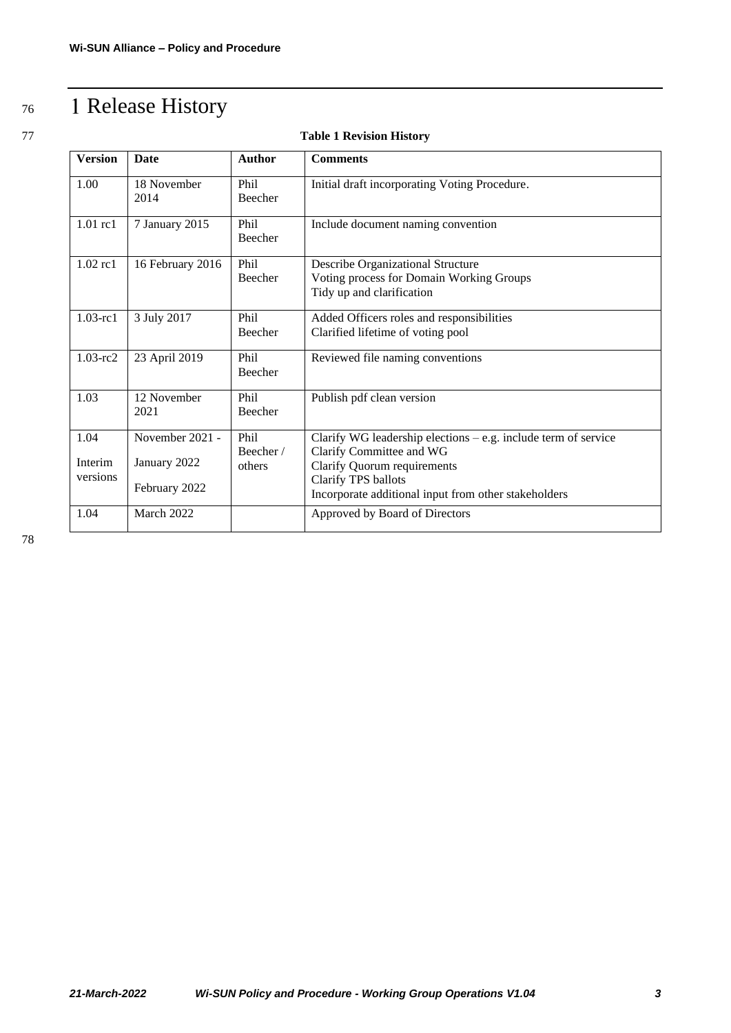# <span id="page-2-0"></span><sup>76</sup> Release History

#### 77 **Table 1 Revision History**

| <b>Version</b>              | Date                                             | <b>Author</b>                      | <b>Comments</b>                                                                                                                                                                                            |
|-----------------------------|--------------------------------------------------|------------------------------------|------------------------------------------------------------------------------------------------------------------------------------------------------------------------------------------------------------|
| 1.00                        | 18 November<br>2014                              | Phi <sub>1</sub><br><b>Beecher</b> | Initial draft incorporating Voting Procedure.                                                                                                                                                              |
| $1.01$ rc $1$               | 7 January 2015                                   | Phil<br>Beecher                    | Include document naming convention                                                                                                                                                                         |
| 1.02 rc1                    | 16 February 2016                                 | Phil<br>Beecher                    | <b>Describe Organizational Structure</b><br>Voting process for Domain Working Groups<br>Tidy up and clarification                                                                                          |
| $1.03$ -rc $1$              | 3 July 2017                                      | Phi <sub>1</sub><br><b>Beecher</b> | Added Officers roles and responsibilities<br>Clarified lifetime of voting pool                                                                                                                             |
| $1.03 - rc2$                | 23 April 2019                                    | Phil<br>Beecher                    | Reviewed file naming conventions                                                                                                                                                                           |
| 1.03                        | 12 November<br>2021                              | Phi <sub>1</sub><br>Beecher        | Publish pdf clean version                                                                                                                                                                                  |
| 1.04<br>Interim<br>versions | November 2021 -<br>January 2022<br>February 2022 | Phil<br>Beecher/<br>others         | Clarify WG leadership elections $-$ e.g. include term of service<br>Clarify Committee and WG<br>Clarify Quorum requirements<br>Clarify TPS ballots<br>Incorporate additional input from other stakeholders |
| 1.04                        | March 2022                                       |                                    | Approved by Board of Directors                                                                                                                                                                             |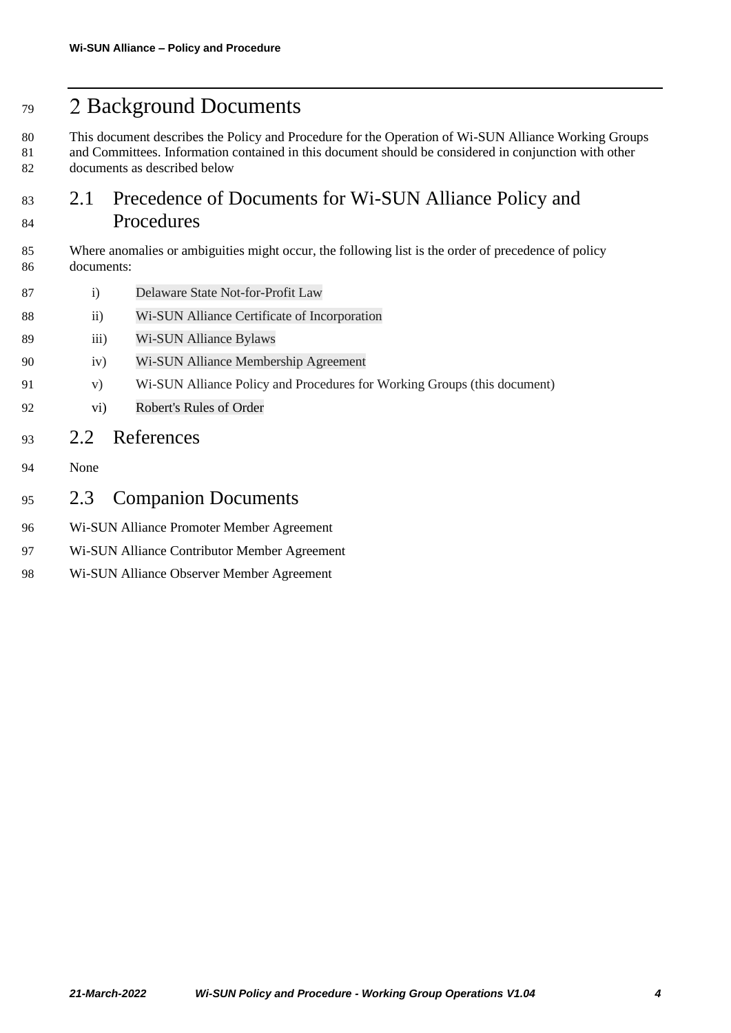# <span id="page-3-0"></span>Background Documents

 This document describes the Policy and Procedure for the Operation of Wi-SUN Alliance Working Groups 81 and Committees. Information contained in this document should be considered in conjunction with other documents as described below

# <span id="page-3-1"></span> 2.1 Precedence of Documents for Wi-SUN Alliance Policy and Procedures

 Where anomalies or ambiguities might occur, the following list is the order of precedence of policy documents:

- i) Delaware State Not-for-Profit Law
- ii) Wi-SUN Alliance Certificate of Incorporation
- iii) Wi-SUN Alliance Bylaws
- iv) Wi-SUN Alliance Membership Agreement
- v) Wi-SUN Alliance Policy and Procedures for Working Groups (this document)
- vi) Robert's Rules of Order
- <span id="page-3-2"></span>2.2 References
- None
- <span id="page-3-3"></span>2.3 Companion Documents
- Wi-SUN Alliance Promoter Member Agreement
- Wi-SUN Alliance Contributor Member Agreement
- Wi-SUN Alliance Observer Member Agreement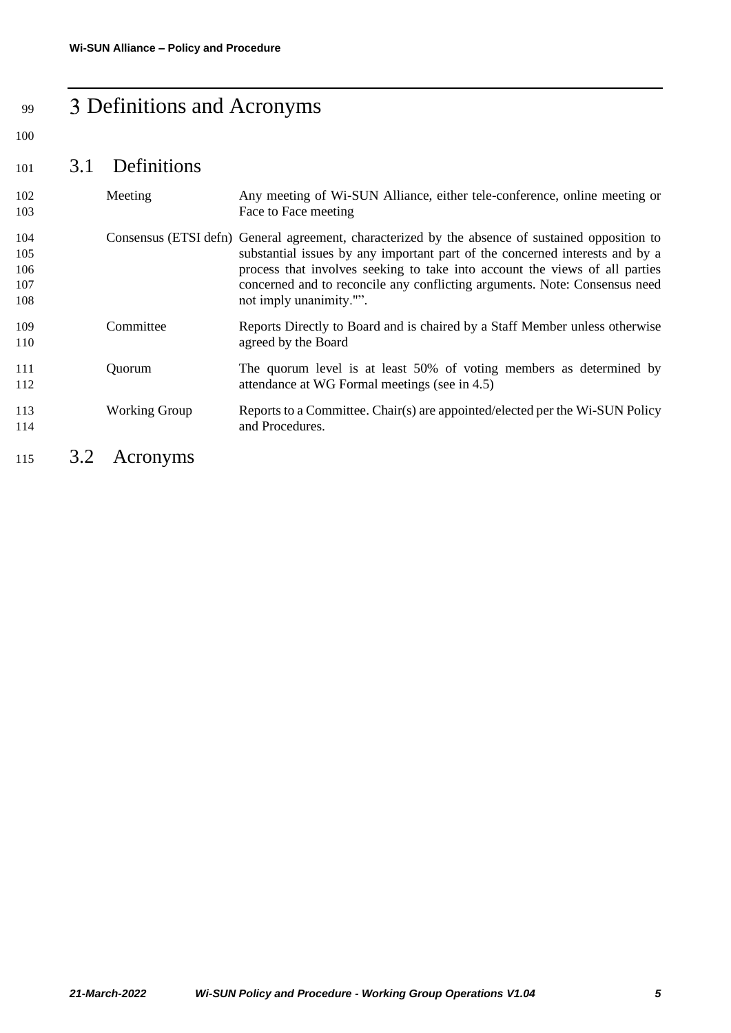# <span id="page-4-0"></span><sup>99</sup> Definitions and Acronyms

#### 100

# <span id="page-4-1"></span><sup>101</sup> 3.1 Definitions

<span id="page-4-2"></span>

| 102<br>103                      | Meeting              | Any meeting of Wi-SUN Alliance, either tele-conference, online meeting or<br>Face to Face meeting                                                                                                                                                                                                                                                                        |
|---------------------------------|----------------------|--------------------------------------------------------------------------------------------------------------------------------------------------------------------------------------------------------------------------------------------------------------------------------------------------------------------------------------------------------------------------|
| 104<br>105<br>106<br>107<br>108 |                      | Consensus (ETSI defn) General agreement, characterized by the absence of sustained opposition to<br>substantial issues by any important part of the concerned interests and by a<br>process that involves seeking to take into account the views of all parties<br>concerned and to reconcile any conflicting arguments. Note: Consensus need<br>not imply unanimity."". |
| 109<br>110                      | Committee            | Reports Directly to Board and is chaired by a Staff Member unless otherwise<br>agreed by the Board                                                                                                                                                                                                                                                                       |
| 111<br>112                      | Quorum               | The quorum level is at least 50% of voting members as determined by<br>attendance at WG Formal meetings (see in 4.5)                                                                                                                                                                                                                                                     |
| 113<br>114                      | <b>Working Group</b> | Reports to a Committee. Chair(s) are appointed/elected per the Wi-SUN Policy<br>and Procedures.                                                                                                                                                                                                                                                                          |
| 115                             | 3.2<br>Acronyms      |                                                                                                                                                                                                                                                                                                                                                                          |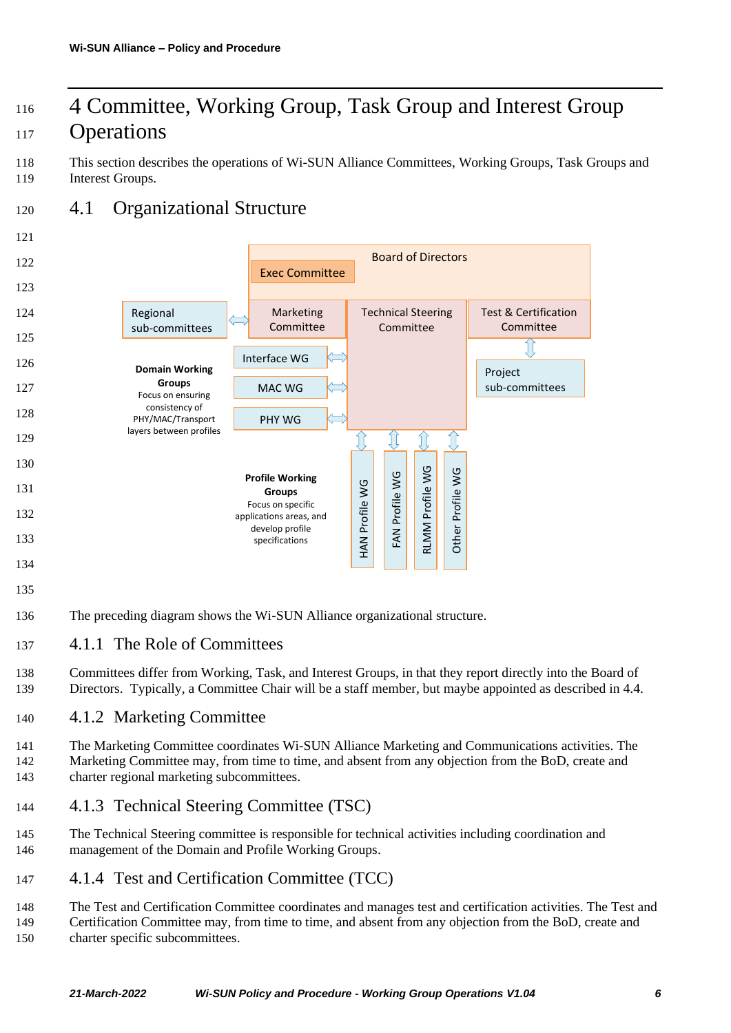# <span id="page-5-0"></span><sup>116</sup> Committee, Working Group, Task Group and Interest Group 117 Operations

118 This section describes the operations of Wi-SUN Alliance Committees, Working Groups, Task Groups and 119 Interest Groups.

# <span id="page-5-1"></span><sup>120</sup> 4.1 Organizational Structure

#### 121



- 135
- 136 The preceding diagram shows the Wi-SUN Alliance organizational structure.

### <span id="page-5-2"></span>137 4.1.1 The Role of Committees

138 Committees differ from Working, Task, and Interest Groups, in that they report directly into the Board of 139 Directors. Typically, a Committee Chair will be a staff member, but maybe appointed as described i[n 4.4.](#page-8-0)

# <span id="page-5-3"></span>140 4.1.2 Marketing Committee

141 The Marketing Committee coordinates Wi-SUN Alliance Marketing and Communications activities. The 142 Marketing Committee may, from time to time, and absent from any objection from the BoD, create and 143 charter regional marketing subcommittees.

# <span id="page-5-4"></span>144 4.1.3 Technical Steering Committee (TSC)

145 The Technical Steering committee is responsible for technical activities including coordination and 146 management of the Domain and Profile Working Groups.

# <span id="page-5-5"></span>147 4.1.4 Test and Certification Committee (TCC)

148 The Test and Certification Committee coordinates and manages test and certification activities. The Test and

149 Certification Committee may, from time to time, and absent from any objection from the BoD, create and 150 charter specific subcommittees.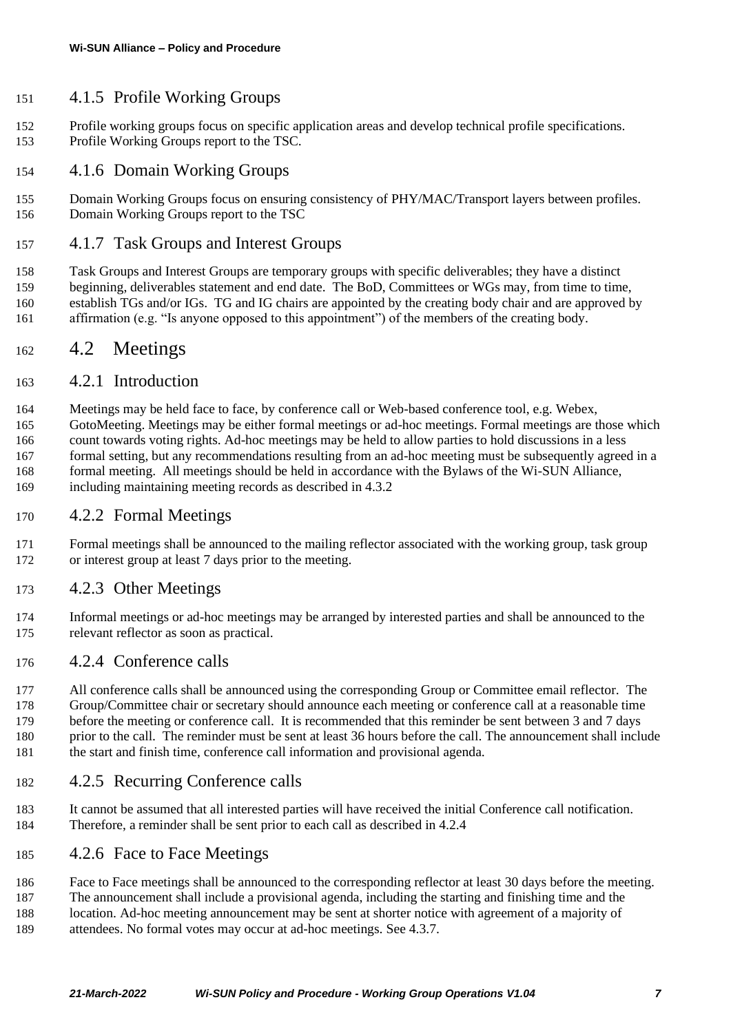#### <span id="page-6-0"></span>4.1.5 Profile Working Groups

- Profile working groups focus on specific application areas and develop technical profile specifications. Profile Working Groups report to the TSC.
- <span id="page-6-1"></span>4.1.6 Domain Working Groups
- Domain Working Groups focus on ensuring consistency of PHY/MAC/Transport layers between profiles. Domain Working Groups report to the TSC
- <span id="page-6-2"></span>4.1.7 Task Groups and Interest Groups
- Task Groups and Interest Groups are temporary groups with specific deliverables; they have a distinct beginning, deliverables statement and end date. The BoD, Committees or WGs may, from time to time, establish TGs and/or IGs. TG and IG chairs are appointed by the creating body chair and are approved by 161 affirmation (e.g. "Is anyone opposed to this appointment") of the members of the creating body.

#### <span id="page-6-3"></span>4.2 Meetings

#### <span id="page-6-4"></span>4.2.1 Introduction

 Meetings may be held face to face, by conference call or Web-based conference tool, e.g. Webex, GotoMeeting. Meetings may be either formal meetings or ad-hoc meetings. Formal meetings are those which count towards voting rights. Ad-hoc meetings may be held to allow parties to hold discussions in a less 167 formal setting, but any recommendations resulting from an ad-hoc meeting must be subsequently agreed in a formal meeting. All meetings should be held in accordance with the Bylaws of the Wi-SUN Alliance, including maintaining meeting records as described in [4.3.2](#page-7-2)

#### <span id="page-6-5"></span>4.2.2 Formal Meetings

 Formal meetings shall be announced to the mailing reflector associated with the working group, task group or interest group at least 7 days prior to the meeting.

#### <span id="page-6-6"></span>4.2.3 Other Meetings

 Informal meetings or ad-hoc meetings may be arranged by interested parties and shall be announced to the relevant reflector as soon as practical.

#### <span id="page-6-7"></span>4.2.4 Conference calls

- 177 All conference calls shall be announced using the corresponding Group or Committee email reflector. The Group/Committee chair or secretary should announce each meeting or conference call at a reasonable time before the meeting or conference call. It is recommended that this reminder be sent between 3 and 7 days prior to the call. The reminder must be sent at least 36 hours before the call. The announcement shall include the start and finish time, conference call information and provisional agenda.
- <span id="page-6-8"></span>4.2.5 Recurring Conference calls
- It cannot be assumed that all interested parties will have received the initial Conference call notification. Therefore, a reminder shall be sent prior to each call as described i[n 4.2.4](#page-6-7)

#### <span id="page-6-9"></span>4.2.6 Face to Face Meetings

- Face to Face meetings shall be announced to the corresponding reflector at least 30 days before the meeting.
- The announcement shall include a provisional agenda, including the starting and finishing time and the
- 188 location. Ad-hoc meeting announcement may be sent at shorter notice with agreement of a majority of attendees. No formal votes may occur at ad-hoc meetings. See [4.3.7.](#page-7-7)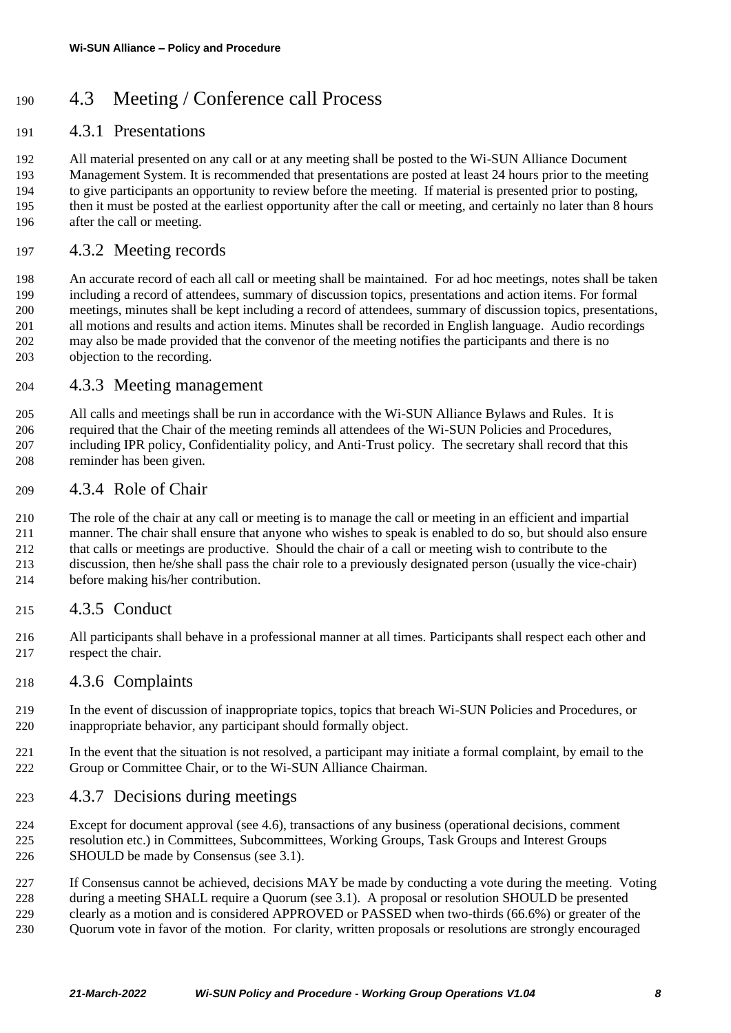# <span id="page-7-0"></span>4.3 Meeting / Conference call Process

## <span id="page-7-1"></span>4.3.1 Presentations

 All material presented on any call or at any meeting shall be posted to the Wi-SUN Alliance Document Management System. It is recommended that presentations are posted at least 24 hours prior to the meeting to give participants an opportunity to review before the meeting. If material is presented prior to posting, then it must be posted at the earliest opportunity after the call or meeting, and certainly no later than 8 hours after the call or meeting.

#### <span id="page-7-2"></span>4.3.2 Meeting records

 An accurate record of each all call or meeting shall be maintained. For ad hoc meetings, notes shall be taken including a record of attendees, summary of discussion topics, presentations and action items. For formal meetings, minutes shall be kept including a record of attendees, summary of discussion topics, presentations, all motions and results and action items. Minutes shall be recorded in English language. Audio recordings may also be made provided that the convenor of the meeting notifies the participants and there is no objection to the recording.

#### <span id="page-7-3"></span>4.3.3 Meeting management

 All calls and meetings shall be run in accordance with the Wi-SUN Alliance Bylaws and Rules. It is required that the Chair of the meeting reminds all attendees of the Wi-SUN Policies and Procedures, including IPR policy, Confidentiality policy, and Anti-Trust policy. The secretary shall record that this reminder has been given.

#### <span id="page-7-4"></span>4.3.4 Role of Chair

 The role of the chair at any call or meeting is to manage the call or meeting in an efficient and impartial manner. The chair shall ensure that anyone who wishes to speak is enabled to do so, but should also ensure that calls or meetings are productive. Should the chair of a call or meeting wish to contribute to the discussion, then he/she shall pass the chair role to a previously designated person (usually the vice-chair) before making his/her contribution.

### <span id="page-7-5"></span>4.3.5 Conduct

 All participants shall behave in a professional manner at all times. Participants shall respect each other and respect the chair.

### <span id="page-7-6"></span>4.3.6 Complaints

- In the event of discussion of inappropriate topics, topics that breach Wi-SUN Policies and Procedures, or inappropriate behavior, any participant should formally object.
- In the event that the situation is not resolved, a participant may initiate a formal complaint, by email to the Group or Committee Chair, or to the Wi-SUN Alliance Chairman.
- <span id="page-7-7"></span>4.3.7 Decisions during meetings
- Except for document approval (see [4.6\)](#page-10-2), transactions of any business (operational decisions, comment resolution etc.) in Committees, Subcommittees, Working Groups, Task Groups and Interest Groups SHOULD be made by Consensus (see [3.1\)](#page-4-1).
- If Consensus cannot be achieved, decisions MAY be made by conducting a vote during the meeting. Voting
- during a meeting SHALL require a Quorum (see 3.1). A proposal or resolution SHOULD be presented
- clearly as a motion and is considered APPROVED or PASSED when two-thirds (66.6%) or greater of the
- Quorum vote in favor of the motion. For clarity, written proposals or resolutions are strongly encouraged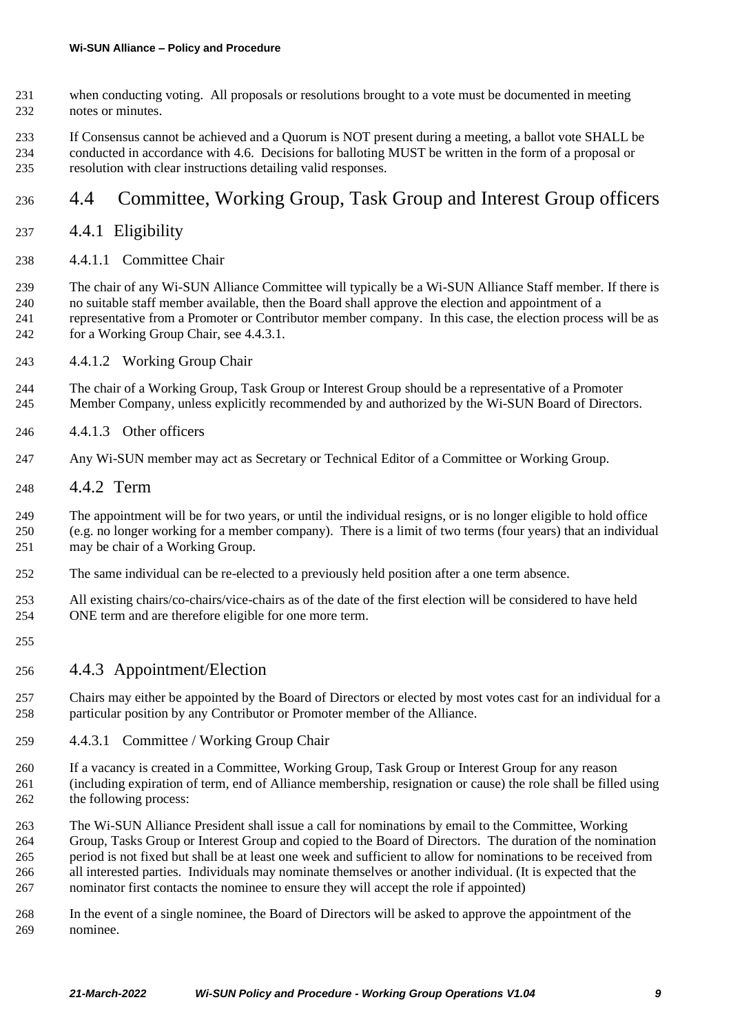- when conducting voting. All proposals or resolutions brought to a vote must be documented in meeting notes or minutes.
- If Consensus cannot be achieved and a Quorum is NOT present during a meeting, a ballot vote SHALL be conducted in accordance with [4.6.](#page-10-2) Decisions for balloting MUST be written in the form of a proposal or resolution with clear instructions detailing valid responses.

# <span id="page-8-0"></span>4.4 Committee, Working Group, Task Group and Interest Group officers

#### <span id="page-8-1"></span>4.4.1 Eligibility

4.4.1.1 Committee Chair

 The chair of any Wi-SUN Alliance Committee will typically be a Wi-SUN Alliance Staff member. If there is no suitable staff member available, then the Board shall approve the election and appointment of a representative from a Promoter or Contributor member company. In this case, the election process will be as for a Working Group Chair, see [4.4.3.1.](#page-8-4)

4.4.1.2 Working Group Chair

 The chair of a Working Group, Task Group or Interest Group should be a representative of a Promoter 245 Member Company, unless explicitly recommended by and authorized by the Wi-SUN Board of Directors.

- 4.4.1.3 Other officers
- Any Wi-SUN member may act as Secretary or Technical Editor of a Committee or Working Group.
- <span id="page-8-2"></span>4.4.2 Term

The appointment will be for two years, or until the individual resigns, or is no longer eligible to hold office

- (e.g. no longer working for a member company). There is a limit of two terms (four years) that an individual may be chair of a Working Group.
- The same individual can be re-elected to a previously held position after a one term absence.
- All existing chairs/co-chairs/vice-chairs as of the date of the first election will be considered to have held ONE term and are therefore eligible for one more term.
- 
- <span id="page-8-3"></span>4.4.3 Appointment/Election
- Chairs may either be appointed by the Board of Directors or elected by most votes cast for an individual for a particular position by any Contributor or Promoter member of the Alliance.
- <span id="page-8-4"></span>4.4.3.1 Committee / Working Group Chair
- If a vacancy is created in a Committee, Working Group, Task Group or Interest Group for any reason (including expiration of term, end of Alliance membership, resignation or cause) the role shall be filled using the following process:
- The Wi-SUN Alliance President shall issue a call for nominations by email to the Committee, Working Group, Tasks Group or Interest Group and copied to the Board of Directors. The duration of the nomination period is not fixed but shall be at least one week and sufficient to allow for nominations to be received from all interested parties. Individuals may nominate themselves or another individual. (It is expected that the nominator first contacts the nominee to ensure they will accept the role if appointed)
- In the event of a single nominee, the Board of Directors will be asked to approve the appointment of the nominee.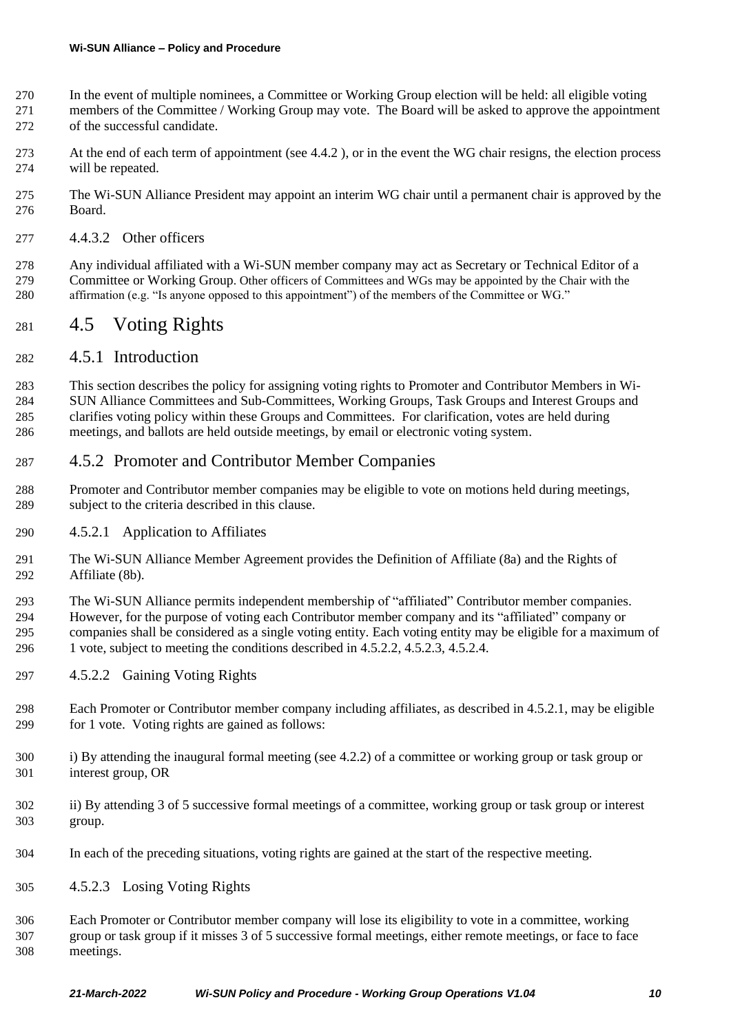- In the event of multiple nominees, a Committee or Working Group election will be held: all eligible voting members of the Committee / Working Group may vote. The Board will be asked to approve the appointment
- of the successful candidate.
- 273 At the end of each term of appointment (see [4.4.2](#page-8-2)), or in the event the WG chair resigns, the election process will be repeated.
- The Wi-SUN Alliance President may appoint an interim WG chair until a permanent chair is approved by the Board.
- 4.4.3.2 Other officers

 Any individual affiliated with a Wi-SUN member company may act as Secretary or Technical Editor of a Committee or Working Group. Other officers of Committees and WGs may be appointed by the Chair with the affirmation (e.g. "Is anyone opposed to this appointment") of the members of the Committee or WG."

# <span id="page-9-0"></span>4.5 Voting Rights

#### <span id="page-9-1"></span>4.5.1 Introduction

 This section describes the policy for assigning voting rights to Promoter and Contributor Members in Wi-284 SUN Alliance Committees and Sub-Committees, Working Groups, Task Groups and Interest Groups and clarifies voting policy within these Groups and Committees. For clarification, votes are held during meetings, and ballots are held outside meetings, by email or electronic voting system.

#### <span id="page-9-2"></span>4.5.2 Promoter and Contributor Member Companies

- Promoter and Contributor member companies may be eligible to vote on motions held during meetings, subject to the criteria described in this clause.
- <span id="page-9-5"></span>4.5.2.1 Application to Affiliates
- The Wi-SUN Alliance Member Agreement provides the Definition of Affiliate (8a) and the Rights of Affiliate (8b).
- The Wi-SUN Alliance permits independent membership of "affiliated" Contributor member companies.
- However, for the purpose of voting each Contributor member company and its "affiliated" company or companies shall be considered as a single voting entity. Each voting entity may be eligible for a maximum of 1 vote, subject to meeting the conditions described in [4.5.2.2,](#page-9-3) [4.5.2.3,](#page-9-4) [4.5.2.4.](#page-10-6)
- <span id="page-9-3"></span>4.5.2.2 Gaining Voting Rights
- Each Promoter or Contributor member company including affiliates, as described in [4.5.2.1,](#page-9-5) may be eligible for 1 vote. Voting rights are gained as follows:
- 300 i) By attending the inaugural formal meeting (see [4.2.2\)](#page-6-5) of a committee or working group or task group or interest group, OR
- ii) By attending 3 of 5 successive formal meetings of a committee, working group or task group or interest group.
- In each of the preceding situations, voting rights are gained at the start of the respective meeting.
- <span id="page-9-4"></span>4.5.2.3 Losing Voting Rights

 Each Promoter or Contributor member company will lose its eligibility to vote in a committee, working group or task group if it misses 3 of 5 successive formal meetings, either remote meetings, or face to face meetings.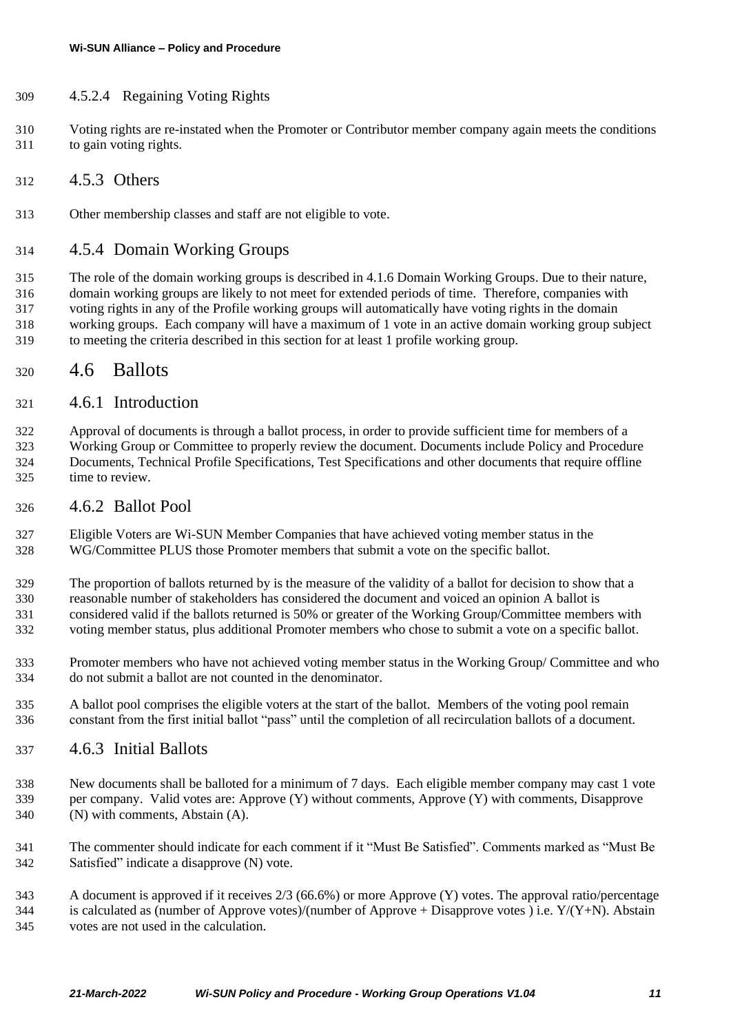#### <span id="page-10-6"></span>4.5.2.4 Regaining Voting Rights

- Voting rights are re-instated when the Promoter or Contributor member company again meets the conditions to gain voting rights.
- <span id="page-10-0"></span>4.5.3 Others
- Other membership classes and staff are not eligible to vote.

#### <span id="page-10-1"></span>4.5.4 Domain Working Groups

 The role of the domain working groups is described in [4.1.6](#page-6-1) [Domain Working Groups.](#page-6-1) Due to their nature, domain working groups are likely to not meet for extended periods of time. Therefore, companies with voting rights in any of the Profile working groups will automatically have voting rights in the domain working groups. Each company will have a maximum of 1 vote in an active domain working group subject to meeting the criteria described in this section for at least 1 profile working group.

#### <span id="page-10-2"></span>4.6 Ballots

#### <span id="page-10-3"></span>4.6.1 Introduction

 Approval of documents is through a ballot process, in order to provide sufficient time for members of a Working Group or Committee to properly review the document. Documents include Policy and Procedure Documents, Technical Profile Specifications, Test Specifications and other documents that require offline time to review.

#### <span id="page-10-4"></span>4.6.2 Ballot Pool

 Eligible Voters are Wi-SUN Member Companies that have achieved voting member status in the WG/Committee PLUS those Promoter members that submit a vote on the specific ballot.

 The proportion of ballots returned by is the measure of the validity of a ballot for decision to show that a reasonable number of stakeholders has considered the document and voiced an opinion A ballot is considered valid if the ballots returned is 50% or greater of the Working Group/Committee members with voting member status, plus additional Promoter members who chose to submit a vote on a specific ballot.

- Promoter members who have not achieved voting member status in the Working Group/ Committee and who do not submit a ballot are not counted in the denominator.
- A ballot pool comprises the eligible voters at the start of the ballot. Members of the voting pool remain constant from the first initial ballot "pass" until the completion of all recirculation ballots of a document.

#### <span id="page-10-5"></span>4.6.3 Initial Ballots

 New documents shall be balloted for a minimum of 7 days. Each eligible member company may cast 1 vote per company. Valid votes are: Approve (Y) without comments, Approve (Y) with comments, Disapprove (N) with comments, Abstain (A).

 The commenter should indicate for each comment if it "Must Be Satisfied". Comments marked as "Must Be Satisfied" indicate a disapprove (N) vote.

 A document is approved if it receives 2/3 (66.6%) or more Approve (Y) votes. The approval ratio/percentage 344 is calculated as (number of Approve votes)/(number of Approve + Disapprove votes) i.e.  $Y/(Y+N)$ . Abstain votes are not used in the calculation.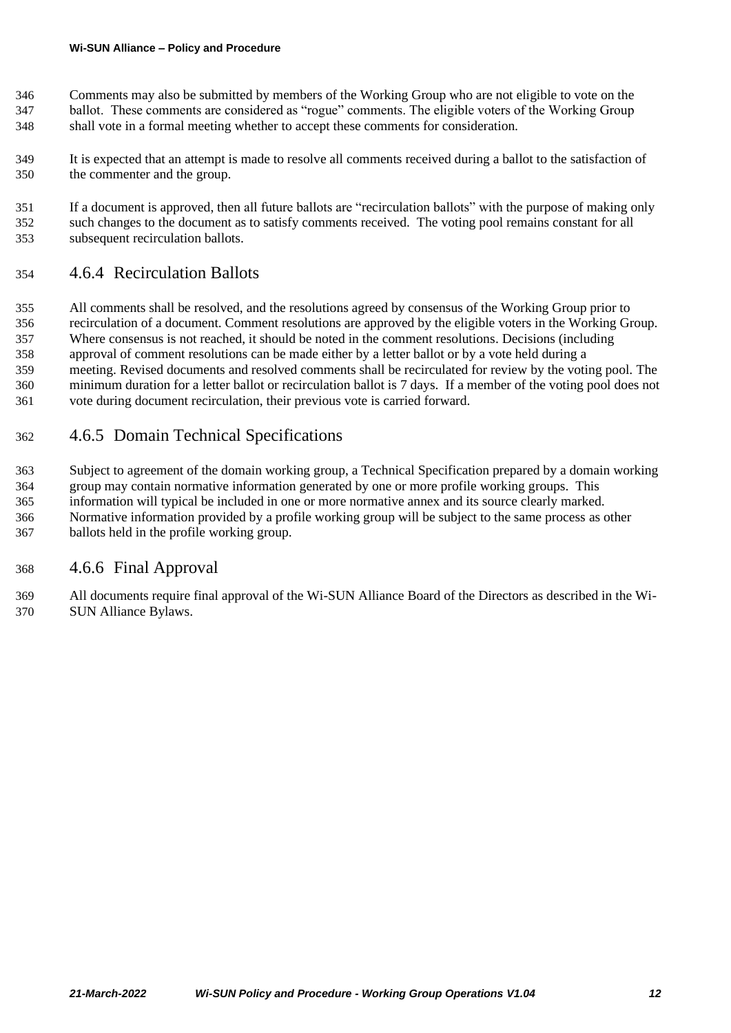- Comments may also be submitted by members of the Working Group who are not eligible to vote on the
- ballot. These comments are considered as "rogue" comments. The eligible voters of the Working Group shall vote in a formal meeting whether to accept these comments for consideration.
- It is expected that an attempt is made to resolve all comments received during a ballot to the satisfaction of the commenter and the group.
- If a document is approved, then all future ballots are "recirculation ballots" with the purpose of making only such changes to the document as to satisfy comments received. The voting pool remains constant for all subsequent recirculation ballots.

## <span id="page-11-0"></span>4.6.4 Recirculation Ballots

 All comments shall be resolved, and the resolutions agreed by consensus of the Working Group prior to recirculation of a document. Comment resolutions are approved by the eligible voters in the Working Group. Where consensus is not reached, it should be noted in the comment resolutions. Decisions (including approval of comment resolutions can be made either by a letter ballot or by a vote held during a meeting. Revised documents and resolved comments shall be recirculated for review by the voting pool. The minimum duration for a letter ballot or recirculation ballot is 7 days. If a member of the voting pool does not vote during document recirculation, their previous vote is carried forward.

## <span id="page-11-1"></span>4.6.5 Domain Technical Specifications

- Subject to agreement of the domain working group, a Technical Specification prepared by a domain working
- group may contain normative information generated by one or more profile working groups. This
- information will typical be included in one or more normative annex and its source clearly marked.
- Normative information provided by a profile working group will be subject to the same process as other ballots held in the profile working group.

### <span id="page-11-2"></span>4.6.6 Final Approval

 All documents require final approval of the Wi-SUN Alliance Board of the Directors as described in the Wi-SUN Alliance Bylaws.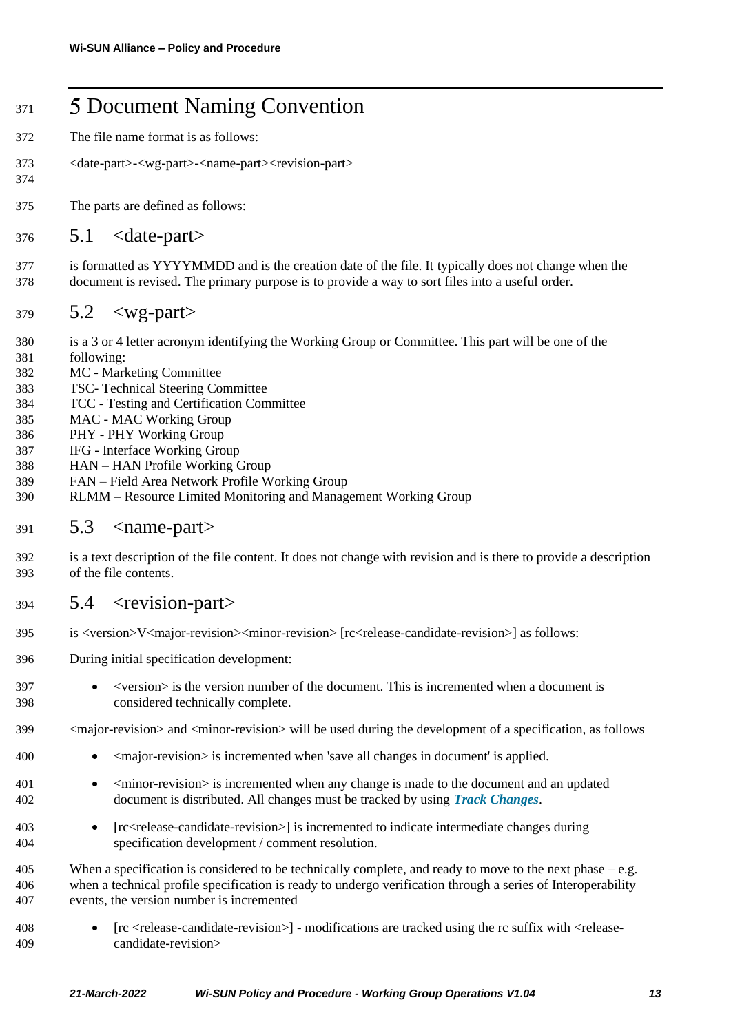# <span id="page-12-0"></span>371 5 Document Naming Convention

- The file name format is as follows:
- <date-part>-<wg-part>-<name-part><revision-part>
- The parts are defined as follows:

#### <span id="page-12-1"></span>5.1 <date-part>

 is formatted as YYYYMMDD and is the creation date of the file. It typically does not change when the document is revised. The primary purpose is to provide a way to sort files into a useful order.

#### <span id="page-12-2"></span>5.2  $\langle$ wg-part $\rangle$

- is a 3 or 4 letter acronym identifying the Working Group or Committee. This part will be one of the
- following:

- MC Marketing Committee
- TSC- Technical Steering Committee
- TCC Testing and Certification Committee
- MAC MAC Working Group
- PHY PHY Working Group
- IFG Interface Working Group
- HAN HAN Profile Working Group
- FAN Field Area Network Profile Working Group
- RLMM Resource Limited Monitoring and Management Working Group

#### <span id="page-12-3"></span>5.3  $\langle$ name-part $\rangle$

 is a text description of the file content. It does not change with revision and is there to provide a description of the file contents.

### <span id="page-12-4"></span>5.4  $\leq$  revision-part>

- is <version>V<major-revision><minor-revision> [rc<release-candidate-revision>] as follows:
- During initial specification development:
- <version> is the version number of the document. This is incremented when a document is considered technically complete.
- <major-revision> and <minor-revision> will be used during the development of a specification, as follows
- <major-revision> is incremented when 'save all changes in document' is applied.
- 401 <minor-revision> is incremented when any change is made to the document and an updated document is distributed. All changes must be tracked by using *Track Changes*.
- [rc<release-candidate-revision>] is incremented to indicate intermediate changes during specification development / comment resolution.
- 405 When a specification is considered to be technically complete, and ready to move to the next phase e.g. when a technical profile specification is ready to undergo verification through a series of Interoperability events, the version number is incremented
- [rc <release-candidate-revision>] modifications are tracked using the rc suffix with <release-candidate-revision>